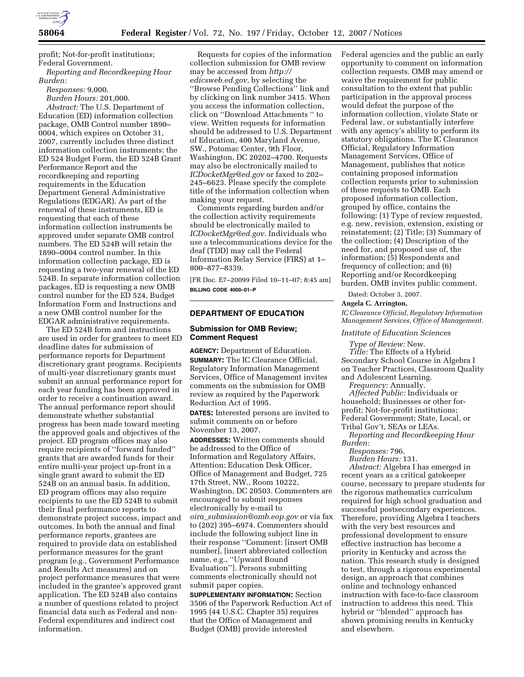

profit; Not-for-profit institutions; Federal Government. *Reporting and Recordkeeping Hour* 

*Burden: Responses:* 9,000.

*Burden Hours:* 201,000.

*Abstract:* The U.S. Department of Education (ED) information collection package, OMB Control number 1890– 0004, which expires on October 31, 2007, currently includes three distinct information collection instruments: the ED 524 Budget Form, the ED 524B Grant Performance Report and the recordkeeping and reporting requirements in the Education Department General Administrative Regulations (EDGAR). As part of the renewal of these instruments, ED is requesting that each of these information collection instruments be approved under separate OMB control numbers. The ED 524B will retain the 1890–0004 control number. In this information collection package, ED is requesting a two-year renewal of the ED 524B. In separate information collection packages, ED is requesting a new OMB control number for the ED 524, Budget Information Form and Instructions and a new OMB control number for the EDGAR administrative requirements.

The ED 524B form and instructions are used in order for grantees to meet ED deadline dates for submission of performance reports for Department discretionary grant programs. Recipients of multi-year discretionary grants must submit an annual performance report for each year funding has been approved in order to receive a continuation award. The annual performance report should demonstrate whether substantial progress has been made toward meeting the approved goals and objectives of the project. ED program offices may also require recipients of ''forward funded'' grants that are awarded funds for their entire multi-year project up-front in a single grant award to submit the ED 524B on an annual basis. In addition, ED program offices may also require recipients to use the ED 524B to submit their final performance reports to demonstrate project success, impact and outcomes. In both the annual and final performance reports, grantees are required to provide data on established performance measures for the grant program (e.g., Government Performance and Results Act measures) and on project performance measures that were included in the grantee's approved grant application. The ED 524B also contains a number of questions related to project financial data such as Federal and non-Federal expenditures and indirect cost information.

Requests for copies of the information collection submission for OMB review may be accessed from *http:// edicsweb.ed.gov,* by selecting the ''Browse Pending Collections'' link and by clicking on link number 3415. When you access the information collection, click on ''Download Attachments '' to view. Written requests for information should be addressed to U.S. Department of Education, 400 Maryland Avenue, SW., Potomac Center, 9th Floor, Washington, DC 20202–4700. Requests may also be electronically mailed to *ICDocketMgr@ed.gov* or faxed to 202– 245–6623. Please specify the complete title of the information collection when making your request.

Comments regarding burden and/or the collection activity requirements should be electronically mailed to *ICDocketMgr@ed.gov.* Individuals who use a telecommunications device for the deaf (TDD) may call the Federal Information Relay Service (FIRS) at 1– 800–877–8339.

[FR Doc. E7–20099 Filed 10–11–07; 8:45 am] **BILLING CODE 4000–01–P** 

#### **DEPARTMENT OF EDUCATION**

## **Submission for OMB Review; Comment Request**

**AGENCY:** Department of Education. **SUMMARY:** The IC Clearance Official, Regulatory Information Management Services, Office of Management invites comments on the submission for OMB review as required by the Paperwork Reduction Act of 1995.

**DATES:** Interested persons are invited to submit comments on or before November 13, 2007.

**ADDRESSES:** Written comments should be addressed to the Office of Information and Regulatory Affairs, Attention: Education Desk Officer, Office of Management and Budget, 725 17th Street, NW., Room 10222, Washington, DC 20503. Commenters are encouraged to submit responses electronically by e-mail to *oira*\_*submission@omb.eop.gov* or via fax to (202) 395–6974. Commenters should include the following subject line in their response ''Comment: [insert OMB number], [insert abbreviated collection name, e.g., ''Upward Bound Evaluation'']. Persons submitting comments electronically should not submit paper copies.

**SUPPLEMENTARY INFORMATION:** Section 3506 of the Paperwork Reduction Act of 1995 (44 U.S.C. Chapter 35) requires that the Office of Management and Budget (OMB) provide interested

Federal agencies and the public an early opportunity to comment on information collection requests. OMB may amend or waive the requirement for public consultation to the extent that public participation in the approval process would defeat the purpose of the information collection, violate State or Federal law, or substantially interfere with any agency's ability to perform its statutory obligations. The IC Clearance Official, Regulatory Information Management Services, Office of Management, publishes that notice containing proposed information collection requests prior to submission of these requests to OMB. Each proposed information collection, grouped by office, contains the following: (1) Type of review requested, e.g. new, revision, extension, existing or reinstatement; (2) Title; (3) Summary of the collection; (4) Description of the need for, and proposed use of, the information; (5) Respondents and frequency of collection; and (6) Reporting and/or Recordkeeping burden. OMB invites public comment.

Dated: October 3, 2007.

**Angela C. Arrington,** 

*IC Clearance Official, Regulatory Information Management Services, Office of Management.* 

#### *Institute of Education Sciences*

*Type of Review:* New. *Title:* The Effects of a Hybrid Secondary School Course in Algebra I on Teacher Practices, Classroom Quality and Adolescent Learning.

*Frequency:* Annually.

*Affected Public:* Individuals or household; Businesses or other forprofit; Not-for-profit institutions; Federal Government; State, Local, or Tribal Gov't, SEAs or LEAs.

*Reporting and Recordkeeping Hour Burden:* 

*Responses:* 796.

*Burden Hours:* 131.

*Abstract:* Algebra I has emerged in recent years as a critical gatekeeper course, necessary to prepare students for the rigorous mathematics curriculum required for high school graduation and successful postsecondary experiences. Therefore, providing Algebra I teachers with the very best resources and professional development to ensure effective instruction has become a priority in Kentucky and across the nation. This research study is designed to test, through a rigorous experimental design, an approach that combines online and technology enhanced instruction with face-to-face classroom instruction to address this need. This hybrid or ''blended'' approach has shown promising results in Kentucky and elsewhere.